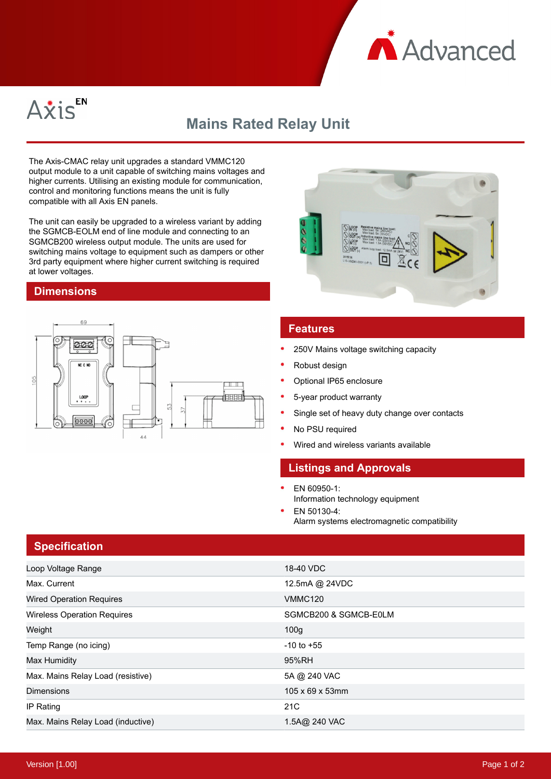



# **Mains Rated Relay Unit**

The Axis-CMAC relay unit upgrades a standard VMMC120 output module to a unit capable of switching mains voltages and higher currents. Utilising an existing module for communication, control and monitoring functions means the unit is fully compatible with all Axis EN panels.

The unit can easily be upgraded to a wireless variant by adding the SGMCB-EOLM end of line module and connecting to an SGMCB200 wireless output module. The units are used for switching mains voltage to equipment such as dampers or other 3rd party equipment where higher current switching is required at lower voltages.

#### **Dimensions**





### **Features**

- 250V Mains voltage switching capacity
- Robust design
- Optional IP65 enclosure
- 5-year product warranty
- Single set of heavy duty change over contacts
- No PSU required
- Wired and wireless variants available

#### **Listings and Approvals**

- EN 60950-1: Information technology equipment
- EN 50130-4: Alarm systems electromagnetic compatibility

## **Specification**

| Loop Voltage Range                 | 18-40 VDC                    |
|------------------------------------|------------------------------|
| Max. Current                       | 12.5mA @ 24VDC               |
| <b>Wired Operation Requires</b>    | <b>VMMC120</b>               |
| <b>Wireless Operation Requires</b> | SGMCB200 & SGMCB-E0LM        |
| Weight                             | 100 <sub>g</sub>             |
| Temp Range (no icing)              | $-10$ to $+55$               |
| Max Humidity                       | 95%RH                        |
| Max. Mains Relay Load (resistive)  | 5A @ 240 VAC                 |
| <b>Dimensions</b>                  | $105 \times 69 \times 53$ mm |
| IP Rating                          | 21C                          |
| Max. Mains Relay Load (inductive)  | 1.5A@ 240 VAC                |